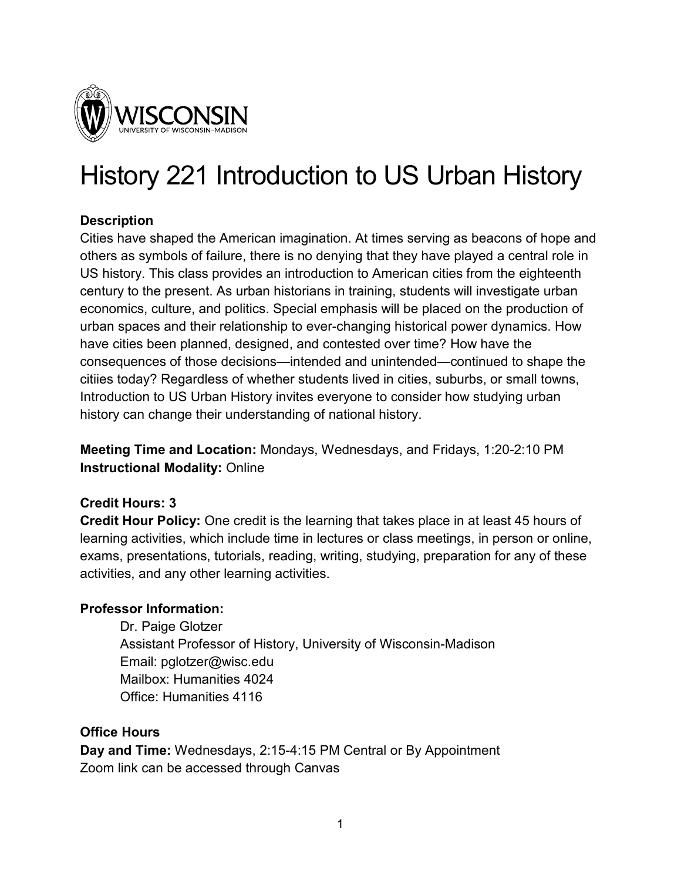

# History 221 Introduction to US Urban History

## **Description**

Cities have shaped the American imagination. At times serving as beacons of hope and others as symbols of failure, there is no denying that they have played a central role in US history. This class provides an introduction to American cities from the eighteenth century to the present. As urban historians in training, students will investigate urban economics, culture, and politics. Special emphasis will be placed on the production of urban spaces and their relationship to ever-changing historical power dynamics. How have cities been planned, designed, and contested over time? How have the consequences of those decisions—intended and unintended—continued to shape the citiies today? Regardless of whether students lived in cities, suburbs, or small towns, Introduction to US Urban History invites everyone to consider how studying urban history can change their understanding of national history.

**Meeting Time and Location:** Mondays, Wednesdays, and Fridays, 1:20-2:10 PM **Instructional Modality:** Online

## **Credit Hours: 3**

**Credit Hour Policy:** One credit is the learning that takes place in at least 45 hours of learning activities, which include time in lectures or class meetings, in person or online, exams, presentations, tutorials, reading, writing, studying, preparation for any of these activities, and any other learning activities.

## **Professor Information:**

Dr. Paige Glotzer Assistant Professor of History, University of Wisconsin-Madison Email: pglotzer@wisc.edu Mailbox: Humanities 4024 Office: Humanities 4116

## **Office Hours**

**Day and Time:** Wednesdays, 2:15-4:15 PM Central or By Appointment Zoom link can be accessed through Canvas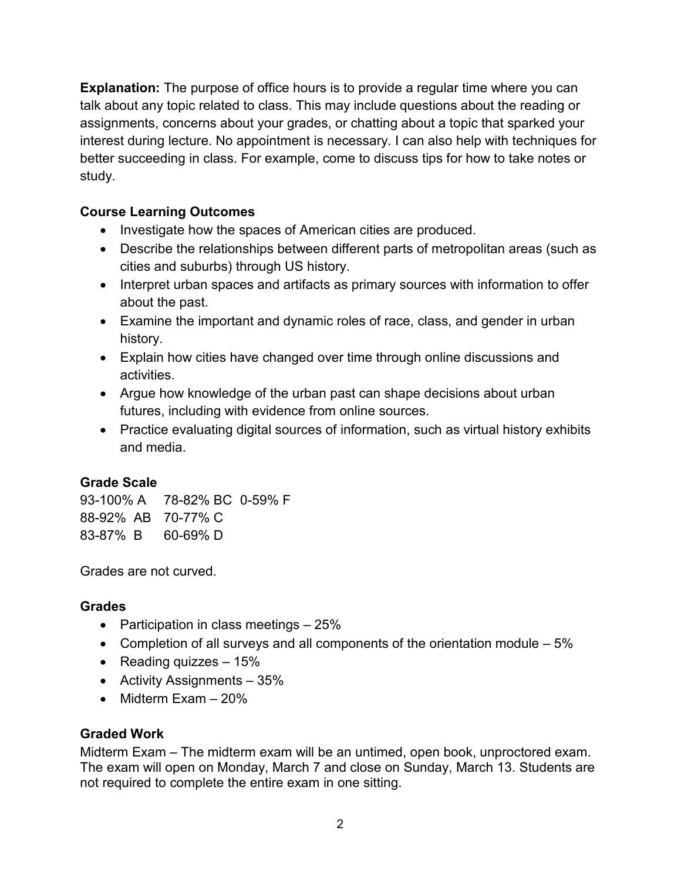**Explanation:** The purpose of office hours is to provide a regular time where you can talk about any topic related to class. This may include questions about the reading or assignments, concerns about your grades, or chatting about a topic that sparked your interest during lecture. No appointment is necessary. I can also help with techniques for better succeeding in class. For example, come to discuss tips for how to take notes or study.

# **Course Learning Outcomes**

- Investigate how the spaces of American cities are produced.
- Describe the relationships between different parts of metropolitan areas (such as cities and suburbs) through US history.
- Interpret urban spaces and artifacts as primary sources with information to offer about the past.
- Examine the important and dynamic roles of race, class, and gender in urban history.
- Explain how cities have changed over time through online discussions and activities.
- Argue how knowledge of the urban past can shape decisions about urban futures, including with evidence from online sources.
- Practice evaluating digital sources of information, such as virtual history exhibits and media.

## **Grade Scale**

93-100% A 78-82% BC 0-59% F 88-92% AB 70-77% C 83-87% B 60-69% D

Grades are not curved.

## **Grades**

- Participation in class meetings 25%
- Completion of all surveys and all components of the orientation module  $-5\%$
- Reading quizzes  $-15%$
- Activity Assignments 35%
- Midterm Exam 20%

## **Graded Work**

Midterm Exam – The midterm exam will be an untimed, open book, unproctored exam. The exam will open on Monday, March 7 and close on Sunday, March 13. Students are not required to complete the entire exam in one sitting.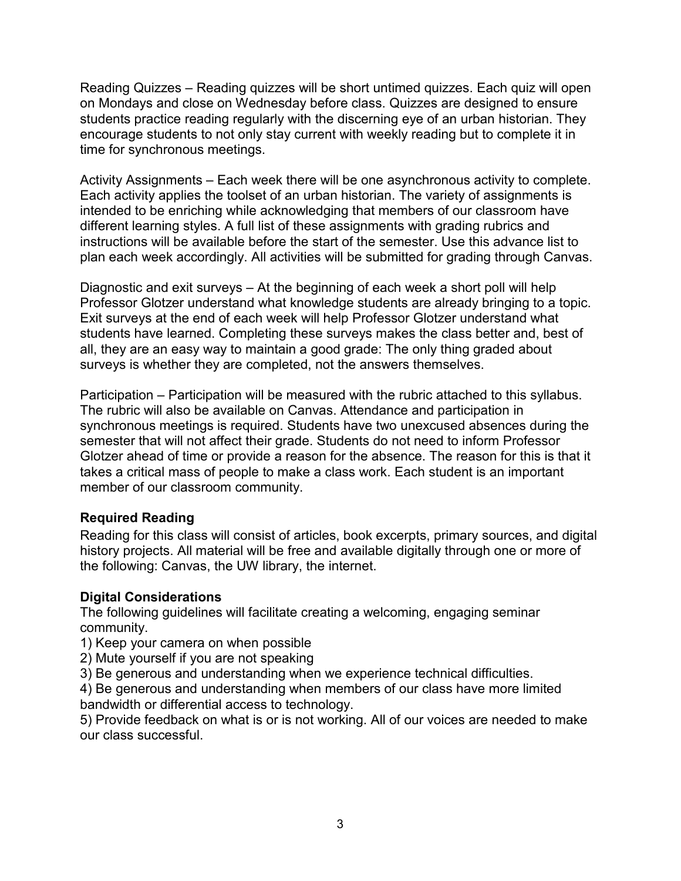Reading Quizzes – Reading quizzes will be short untimed quizzes. Each quiz will open on Mondays and close on Wednesday before class. Quizzes are designed to ensure students practice reading regularly with the discerning eye of an urban historian. They encourage students to not only stay current with weekly reading but to complete it in time for synchronous meetings.

Activity Assignments – Each week there will be one asynchronous activity to complete. Each activity applies the toolset of an urban historian. The variety of assignments is intended to be enriching while acknowledging that members of our classroom have different learning styles. A full list of these assignments with grading rubrics and instructions will be available before the start of the semester. Use this advance list to plan each week accordingly. All activities will be submitted for grading through Canvas.

Diagnostic and exit surveys – At the beginning of each week a short poll will help Professor Glotzer understand what knowledge students are already bringing to a topic. Exit surveys at the end of each week will help Professor Glotzer understand what students have learned. Completing these surveys makes the class better and, best of all, they are an easy way to maintain a good grade: The only thing graded about surveys is whether they are completed, not the answers themselves.

Participation – Participation will be measured with the rubric attached to this syllabus. The rubric will also be available on Canvas. Attendance and participation in synchronous meetings is required. Students have two unexcused absences during the semester that will not affect their grade. Students do not need to inform Professor Glotzer ahead of time or provide a reason for the absence. The reason for this is that it takes a critical mass of people to make a class work. Each student is an important member of our classroom community.

## **Required Reading**

Reading for this class will consist of articles, book excerpts, primary sources, and digital history projects. All material will be free and available digitally through one or more of the following: Canvas, the UW library, the internet.

#### **Digital Considerations**

The following guidelines will facilitate creating a welcoming, engaging seminar community.

- 1) Keep your camera on when possible
- 2) Mute yourself if you are not speaking

3) Be generous and understanding when we experience technical difficulties.

4) Be generous and understanding when members of our class have more limited bandwidth or differential access to technology.

5) Provide feedback on what is or is not working. All of our voices are needed to make our class successful.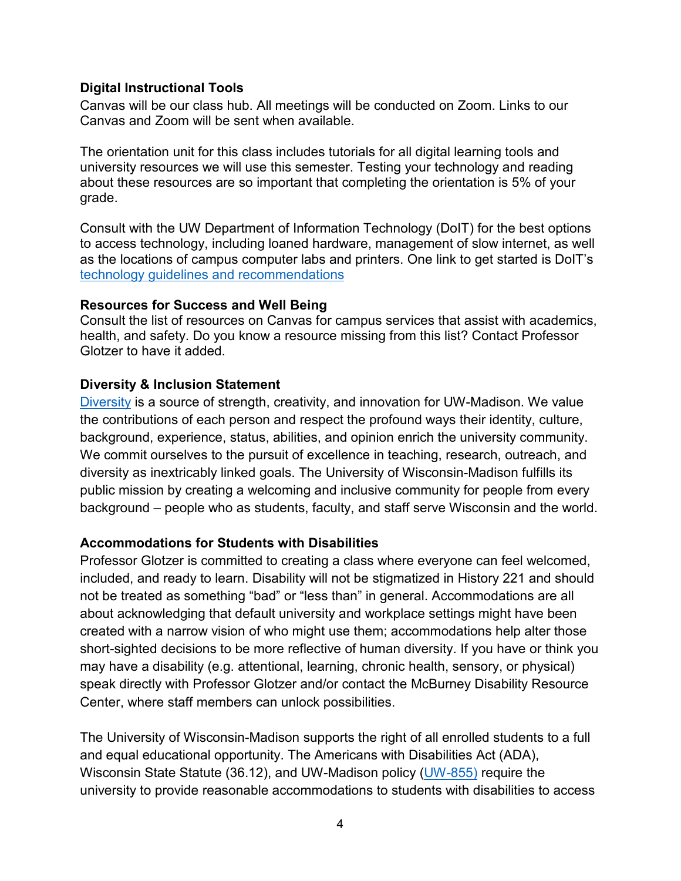#### **Digital Instructional Tools**

Canvas will be our class hub. All meetings will be conducted on Zoom. Links to our Canvas and Zoom will be sent when available.

The orientation unit for this class includes tutorials for all digital learning tools and university resources we will use this semester. Testing your technology and reading about these resources are so important that completing the orientation is 5% of your grade.

Consult with the UW Department of Information Technology (DoIT) for the best options to access technology, including loaned hardware, management of slow internet, as well as the locations of campus computer labs and printers. One link to get started is DoIT's [technology guidelines and recommendations](https://it.wisc.edu/learn/guides/learning-remotely-technology-guide/)

## **Resources for Success and Well Being**

Consult the list of resources on Canvas for campus services that assist with academics, health, and safety. Do you know a resource missing from this list? Contact Professor Glotzer to have it added.

## **Diversity & Inclusion Statement**

[Diversity](https://diversity.wisc.edu/) is a source of strength, creativity, and innovation for UW-Madison. We value the contributions of each person and respect the profound ways their identity, culture, background, experience, status, abilities, and opinion enrich the university community. We commit ourselves to the pursuit of excellence in teaching, research, outreach, and diversity as inextricably linked goals. The University of Wisconsin-Madison fulfills its public mission by creating a welcoming and inclusive community for people from every background – people who as students, faculty, and staff serve Wisconsin and the world.

## **Accommodations for Students with Disabilities**

Professor Glotzer is committed to creating a class where everyone can feel welcomed, included, and ready to learn. Disability will not be stigmatized in History 221 and should not be treated as something "bad" or "less than" in general. Accommodations are all about acknowledging that default university and workplace settings might have been created with a narrow vision of who might use them; accommodations help alter those short-sighted decisions to be more reflective of human diversity. If you have or think you may have a disability (e.g. attentional, learning, chronic health, sensory, or physical) speak directly with Professor Glotzer and/or contact the McBurney Disability Resource Center, where staff members can unlock possibilities.

The University of Wisconsin-Madison supports the right of all enrolled students to a full and equal educational opportunity. The Americans with Disabilities Act (ADA), Wisconsin State Statute (36.12), and UW-Madison policy [\(UW-855\)](https://policy.wisc.edu/library/UW-855) require the university to provide reasonable accommodations to students with disabilities to access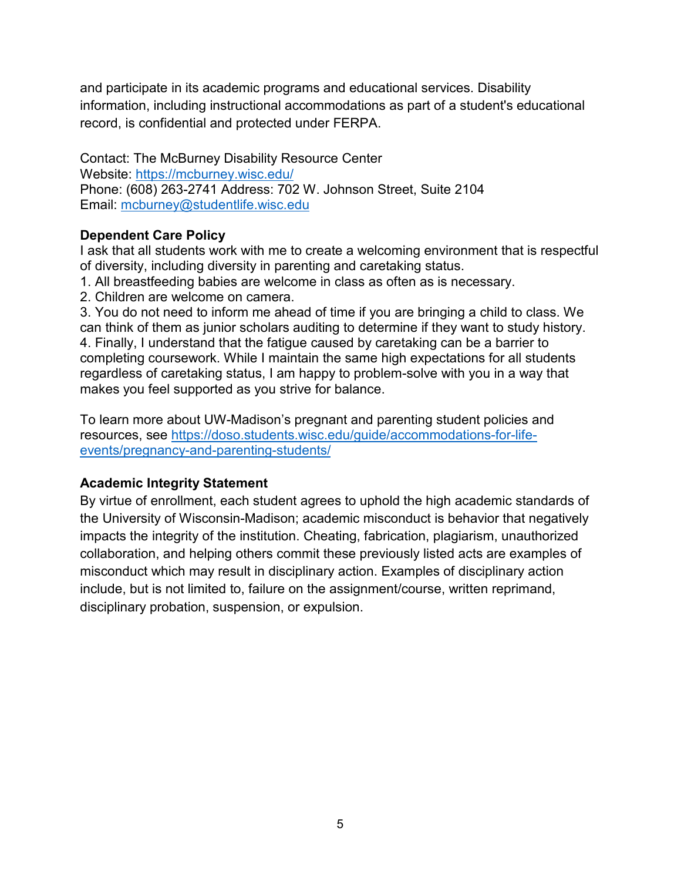and participate in its academic programs and educational services. Disability information, including instructional accommodations as part of a student's educational record, is confidential and protected under FERPA.

Contact: The McBurney Disability Resource Center Website:<https://mcburney.wisc.edu/> Phone: (608) 263-2741 Address: 702 W. Johnson Street, Suite 2104 Email: [mcburney@studentlife.wisc.edu](mailto:mcburney@studentlife.wisc.edu)

## **Dependent Care Policy**

I ask that all students work with me to create a welcoming environment that is respectful of diversity, including diversity in parenting and caretaking status.

1. All breastfeeding babies are welcome in class as often as is necessary.

2. Children are welcome on camera.

3. You do not need to inform me ahead of time if you are bringing a child to class. We can think of them as junior scholars auditing to determine if they want to study history. 4. Finally, I understand that the fatigue caused by caretaking can be a barrier to completing coursework. While I maintain the same high expectations for all students regardless of caretaking status, I am happy to problem-solve with you in a way that makes you feel supported as you strive for balance.

To learn more about UW-Madison's pregnant and parenting student policies and resources, see [https://doso.students.wisc.edu/guide/accommodations-for-life](https://doso.students.wisc.edu/guide/accommodations-for-life-events/pregnancy-and-parenting-students/)[events/pregnancy-and-parenting-students/](https://doso.students.wisc.edu/guide/accommodations-for-life-events/pregnancy-and-parenting-students/)

## **Academic Integrity Statement**

By virtue of enrollment, each student agrees to uphold the high academic standards of the University of Wisconsin-Madison; academic misconduct is behavior that negatively impacts the integrity of the institution. Cheating, fabrication, plagiarism, unauthorized collaboration, and helping others commit these previously listed acts are examples of misconduct which may result in disciplinary action. Examples of disciplinary action include, but is not limited to, failure on the assignment/course, written reprimand, disciplinary probation, suspension, or expulsion.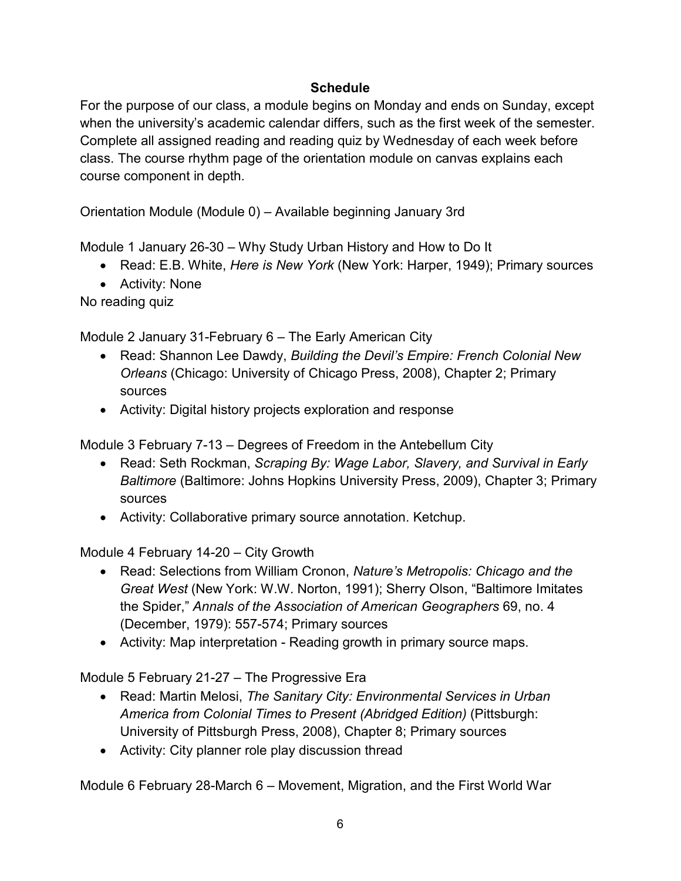# **Schedule**

For the purpose of our class, a module begins on Monday and ends on Sunday, except when the university's academic calendar differs, such as the first week of the semester. Complete all assigned reading and reading quiz by Wednesday of each week before class. The course rhythm page of the orientation module on canvas explains each course component in depth.

Orientation Module (Module 0) – Available beginning January 3rd

Module 1 January 26-30 – Why Study Urban History and How to Do It

- Read: E.B. White, *Here is New York* (New York: Harper, 1949); Primary sources
- Activity: None

No reading quiz

Module 2 January 31-February 6 – The Early American City

- Read: Shannon Lee Dawdy, *Building the Devil's Empire: French Colonial New Orleans* (Chicago: University of Chicago Press, 2008), Chapter 2; Primary sources
- Activity: Digital history projects exploration and response

Module 3 February 7-13 – Degrees of Freedom in the Antebellum City

- Read: Seth Rockman, *Scraping By: Wage Labor, Slavery, and Survival in Early Baltimore* (Baltimore: Johns Hopkins University Press, 2009), Chapter 3; Primary sources
- Activity: Collaborative primary source annotation. Ketchup.

Module 4 February 14-20 – City Growth

- Read: Selections from William Cronon, *Nature's Metropolis: Chicago and the Great West* (New York: W.W. Norton, 1991); Sherry Olson, "Baltimore Imitates the Spider," *Annals of the Association of American Geographers* 69, no. 4 (December, 1979): 557-574; Primary sources
- Activity: Map interpretation Reading growth in primary source maps.

Module 5 February 21-27 – The Progressive Era

- Read: Martin Melosi, *The Sanitary City: Environmental Services in Urban America from Colonial Times to Present (Abridged Edition)* (Pittsburgh: University of Pittsburgh Press, 2008), Chapter 8; Primary sources
- Activity: City planner role play discussion thread

Module 6 February 28-March 6 – Movement, Migration, and the First World War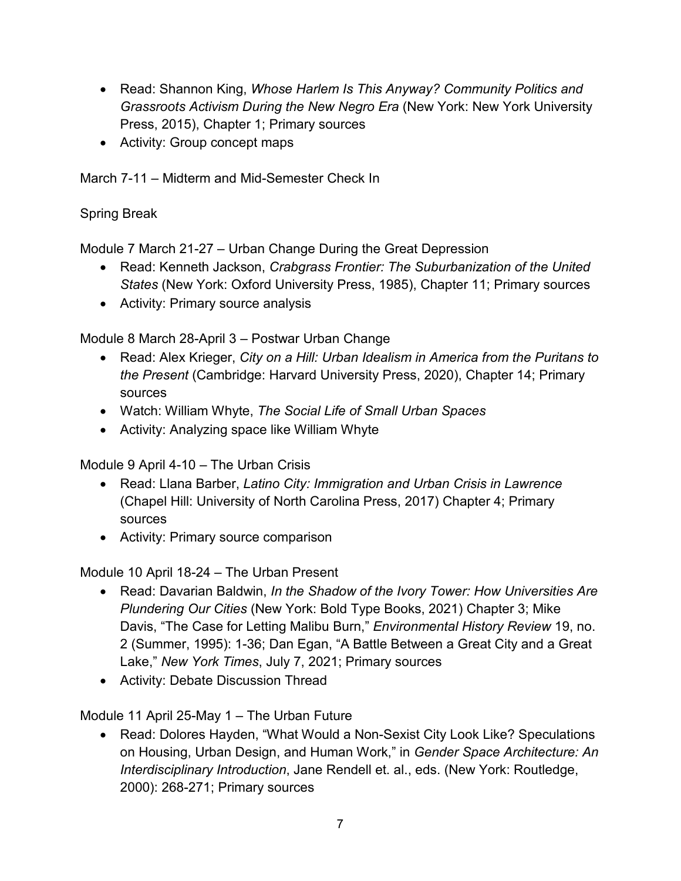- Read: Shannon King, *Whose Harlem Is This Anyway? Community Politics and Grassroots Activism During the New Negro Era* (New York: New York University Press, 2015), Chapter 1; Primary sources
- Activity: Group concept maps

March 7-11 – Midterm and Mid-Semester Check In

Spring Break

Module 7 March 21-27 – Urban Change During the Great Depression

- Read: Kenneth Jackson, *Crabgrass Frontier: The Suburbanization of the United States* (New York: Oxford University Press, 1985), Chapter 11; Primary sources
- Activity: Primary source analysis

Module 8 March 28-April 3 – Postwar Urban Change

- Read: Alex Krieger, *City on a Hill: Urban Idealism in America from the Puritans to the Present* (Cambridge: Harvard University Press, 2020), Chapter 14; Primary sources
- Watch: William Whyte, *The Social Life of Small Urban Spaces*
- Activity: Analyzing space like William Whyte

Module 9 April 4-10 – The Urban Crisis

- Read: Llana Barber, *Latino City: Immigration and Urban Crisis in Lawrence*  (Chapel Hill: University of North Carolina Press, 2017) Chapter 4; Primary sources
- Activity: Primary source comparison

Module 10 April 18-24 – The Urban Present

- Read: Davarian Baldwin, *In the Shadow of the Ivory Tower: How Universities Are Plundering Our Cities* (New York: Bold Type Books, 2021) Chapter 3; Mike Davis, "The Case for Letting Malibu Burn," *Environmental History Review* 19, no. 2 (Summer, 1995): 1-36; Dan Egan, "A Battle Between a Great City and a Great Lake," *New York Times*, July 7, 2021; Primary sources
- Activity: Debate Discussion Thread

Module 11 April 25-May 1 – The Urban Future

• Read: Dolores Hayden, "What Would a Non-Sexist City Look Like? Speculations on Housing, Urban Design, and Human Work," in *Gender Space Architecture: An Interdisciplinary Introduction*, Jane Rendell et. al., eds. (New York: Routledge, 2000): 268-271; Primary sources